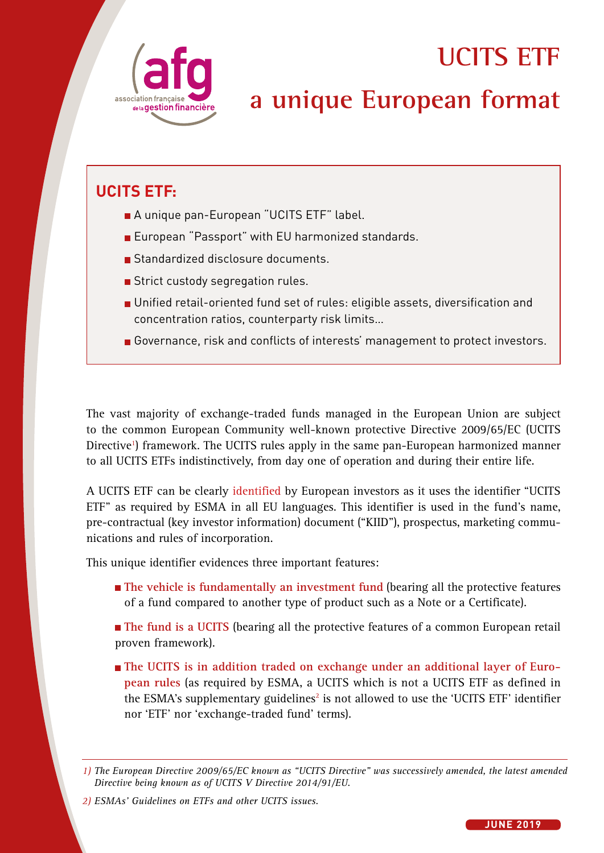

# **UCITS ETF**

# **a unique European format**

## **UCITS ETF:**

- A unique pan-European "UCITS ETF" label.
- **European "Passport" with EU harmonized standards.**
- Standardized disclosure documents.
- Strict custody segregation rules.
- **D** Unified retail-oriented fund set of rules: eligible assets, diversification and concentration ratios, counterparty risk limits…
- Governance, risk and conflicts of interests' management to protect investors.

The vast majority of exchange-traded funds managed in the European Union are subject to the common European Community well-known protective Directive 2009/65/EC (UCITS Directive<sup>1</sup>) framework. The UCITS rules apply in the same pan-European harmonized manner to all UCITS ETFs indistinctively, from day one of operation and during their entire life.

A UCITS ETF can be clearly identified by European investors as it uses the identifier "UCITS ETF" as required by ESMA in all EU languages. This identifier is used in the fund's name, pre-contractual (key investor information) document ("KIID"), prospectus, marketing communications and rules of incorporation.

This unique identifier evidences three important features:

- **The vehicle is fundamentally an investment fund** (bearing all the protective features of a fund compared to another type of product such as a Note or a Certificate).
- **The fund is a UCITS** (bearing all the protective features of a common European retail proven framework).
- **The UCITS** is in addition traded on exchange under an additional layer of Euro**pean rules** (as required by ESMA, a UCITS which is not a UCITS ETF as defined in the ESMA's supplementary guidelines<sup>2</sup> is not allowed to use the 'UCITS ETF' identifier nor 'ETF' nor 'exchange-traded fund' terms).

*<sup>1)</sup> The European Directive 2009/65/EC known as "UCITS Directive" was successively amended, the latest amended Directive being known as of UCITS V Directive 2014/91/EU.*

*<sup>2)</sup> ESMAs' Guidelines on ETFs and other UCITS issues.*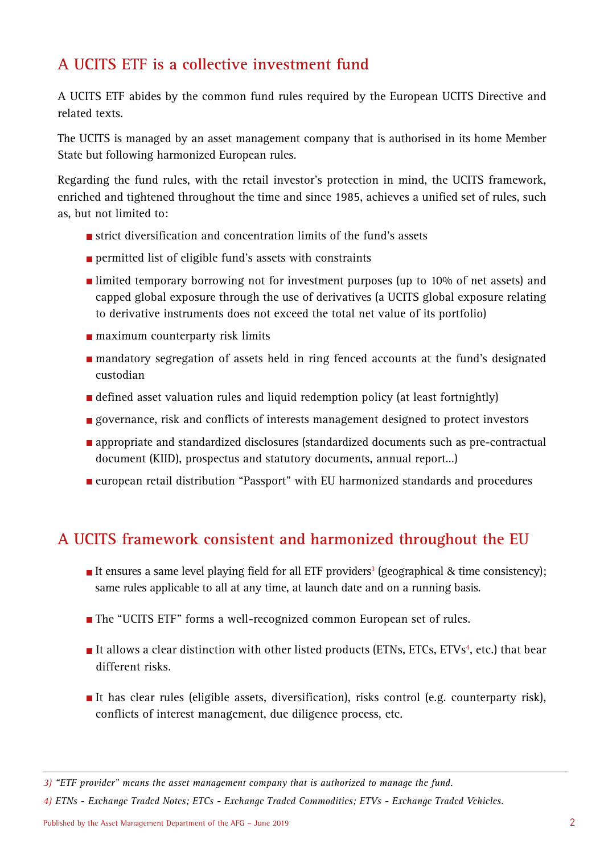### **A UCITS ETF is a collective investment fund**

A UCITS ETF abides by the common fund rules required by the European UCITS Directive and related texts.

The UCITS is managed by an asset management company that is authorised in its home Member State but following harmonized European rules.

Regarding the fund rules, with the retail investor's protection in mind, the UCITS framework, enriched and tightened throughout the time and since 1985, achieves a unified set of rules, such as, but not limited to:

- $\blacksquare$  strict diversification and concentration limits of the fund's assets
- **permitted list of eligible fund's assets with constraints**
- limited temporary borrowing not for investment purposes (up to 10% of net assets) and capped global exposure through the use of derivatives (a UCITS global exposure relating to derivative instruments does not exceed the total net value of its portfolio)
- **n** maximum counterparty risk limits
- mandatory segregation of assets held in ring fenced accounts at the fund's designated custodian
- defined asset valuation rules and liquid redemption policy (at least fortnightly)
- **g** governance, risk and conflicts of interests management designed to protect investors
- **appropriate and standardized disclosures (standardized documents such as pre-contractual** document (KIID), prospectus and statutory documents, annual report…)
- european retail distribution "Passport" with EU harmonized standards and procedures

#### **A UCITS framework consistent and harmonized throughout the EU**

- It ensures a same level playing field for all ETF providers<sup>3</sup> (geographical & time consistency); same rules applicable to all at any time, at launch date and on a running basis.
- The "UCITS ETF" forms a well-recognized common European set of rules.
- It allows a clear distinction with other listed products (ETNs, ETCs, ETVs<sup>4</sup>, etc.) that bear different risks.
- It has clear rules (eligible assets, diversification), risks control (e.g. counterparty risk), conflicts of interest management, due diligence process, etc.

*4) ETNs - Exchange Traded Notes; ETCs - Exchange Traded Commodities; ETVs - Exchange Traded Vehicles.*

*<sup>3) &</sup>quot;ETF provider" means the asset management company that is authorized to manage the fund.*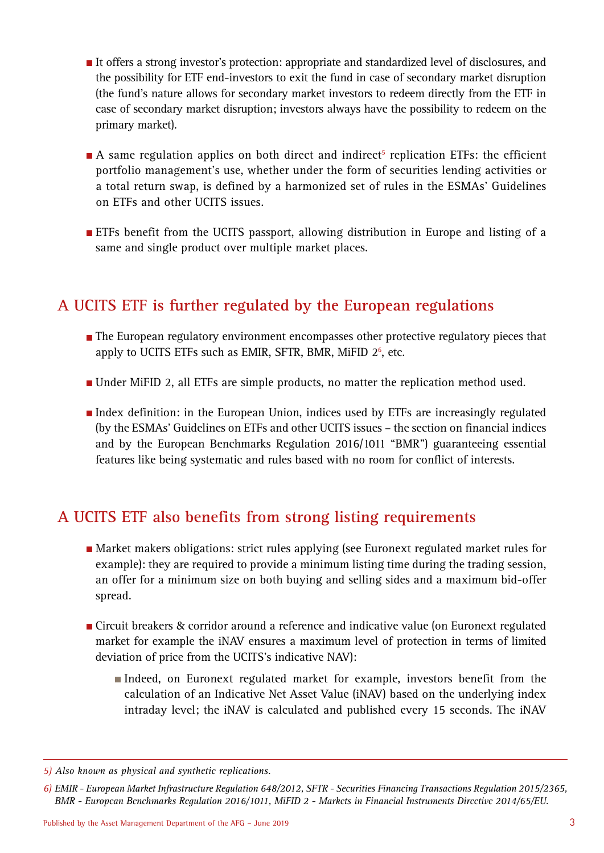- It offers a strong investor's protection: appropriate and standardized level of disclosures, and the possibility for ETF end-investors to exit the fund in case of secondary market disruption (the fund's nature allows for secondary market investors to redeem directly from the ETF in case of secondary market disruption; investors always have the possibility to redeem on the primary market).
- A same regulation applies on both direct and indirect<sup>5</sup> replication ETFs: the efficient portfolio management's use, whether under the form of securities lending activities or a total return swap, is defined by a harmonized set of rules in the ESMAs' Guidelines on ETFs and other UCITS issues.
- **ETFs** benefit from the UCITS passport, allowing distribution in Europe and listing of a same and single product over multiple market places.

#### **A UCITS ETF is further regulated by the European regulations**

- The European regulatory environment encompasses other protective regulatory pieces that apply to UCITS ETFs such as EMIR, SFTR, BMR, MiFID 2<sup>6</sup>, etc.
- Under MiFID 2, all ETFs are simple products, no matter the replication method used.
- Index definition: in the European Union, indices used by ETFs are increasingly regulated (by the ESMAs' Guidelines on ETFs and other UCITS issues – the section on financial indices and by the European Benchmarks Regulation 2016/1011 "BMR") guaranteeing essential features like being systematic and rules based with no room for conflict of interests.

#### **A UCITS ETF also benefits from strong listing requirements**

- Market makers obligations: strict rules applying (see Euronext regulated market rules for example): they are required to provide a minimum listing time during the trading session, an offer for a minimum size on both buying and selling sides and a maximum bid-offer spread.
- Circuit breakers & corridor around a reference and indicative value (on Euronext regulated market for example the iNAV ensures a maximum level of protection in terms of limited deviation of price from the UCITS's indicative NAV):
	- Indeed, on Euronext regulated market for example, investors benefit from the calculation of an Indicative Net Asset Value (iNAV) based on the underlying index intraday level; the iNAV is calculated and published every 15 seconds. The iNAV

*<sup>5)</sup> Also known as physical and synthetic replications.* 

*<sup>6)</sup> EMIR - European Market Infrastructure Regulation 648/2012, SFTR - Securities Financing Transactions Regulation 2015/2365, BMR - European Benchmarks Regulation 2016/1011, MiFID 2 - Markets in Financial Instruments Directive 2014/65/EU.*